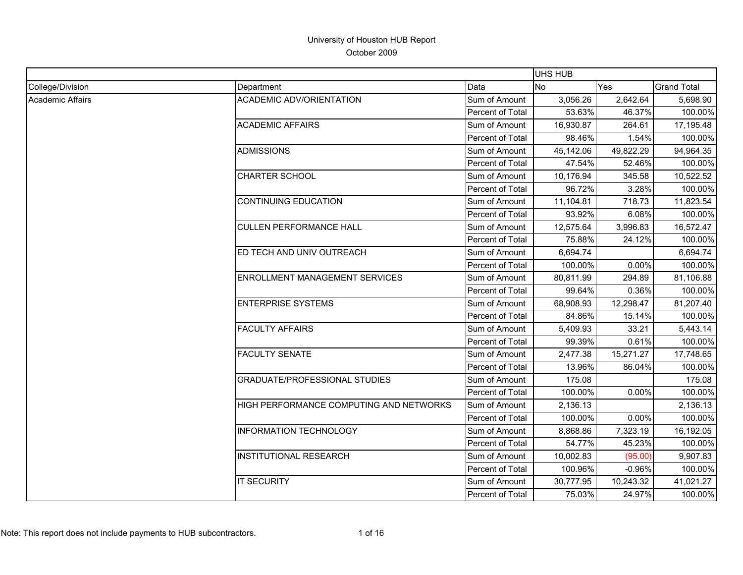|                  |                                         |                  | <b>UHS HUB</b> |           |                    |
|------------------|-----------------------------------------|------------------|----------------|-----------|--------------------|
| College/Division | Department                              | Data             | <b>No</b>      | Yes       | <b>Grand Total</b> |
| Academic Affairs | <b>ACADEMIC ADV/ORIENTATION</b>         | Sum of Amount    | 3,056.26       | 2,642.64  | 5,698.90           |
|                  |                                         | Percent of Total | 53.63%         | 46.37%    | 100.00%            |
|                  | <b>ACADEMIC AFFAIRS</b>                 | Sum of Amount    | 16,930.87      | 264.61    | 17,195.48          |
|                  |                                         | Percent of Total | 98.46%         | 1.54%     | 100.00%            |
|                  | <b>ADMISSIONS</b>                       | Sum of Amount    | 45,142.06      | 49,822.29 | 94,964.35          |
|                  |                                         | Percent of Total | 47.54%         | 52.46%    | 100.00%            |
|                  | <b>CHARTER SCHOOL</b>                   | Sum of Amount    | 10,176.94      | 345.58    | 10,522.52          |
|                  |                                         | Percent of Total | 96.72%         | 3.28%     | 100.00%            |
|                  | <b>CONTINUING EDUCATION</b>             | Sum of Amount    | 11,104.81      | 718.73    | 11,823.54          |
|                  |                                         | Percent of Total | 93.92%         | 6.08%     | 100.00%            |
|                  | <b>CULLEN PERFORMANCE HALL</b>          | Sum of Amount    | 12,575.64      | 3,996.83  | 16,572.47          |
|                  |                                         | Percent of Total | 75.88%         | 24.12%    | 100.00%            |
|                  | ED TECH AND UNIV OUTREACH               | Sum of Amount    | 6,694.74       |           | 6,694.74           |
|                  |                                         | Percent of Total | 100.00%        | 0.00%     | 100.00%            |
|                  | <b>ENROLLMENT MANAGEMENT SERVICES</b>   | Sum of Amount    | 80,811.99      | 294.89    | 81,106.88          |
|                  |                                         | Percent of Total | 99.64%         | 0.36%     | 100.00%            |
|                  | <b>ENTERPRISE SYSTEMS</b>               | Sum of Amount    | 68,908.93      | 12,298.47 | 81,207.40          |
|                  |                                         | Percent of Total | 84.86%         | 15.14%    | 100.00%            |
|                  | <b>FACULTY AFFAIRS</b>                  | Sum of Amount    | 5,409.93       | 33.21     | 5,443.14           |
|                  |                                         | Percent of Total | 99.39%         | 0.61%     | 100.00%            |
|                  | <b>FACULTY SENATE</b>                   | Sum of Amount    | 2,477.38       | 15,271.27 | 17,748.65          |
|                  |                                         | Percent of Total | 13.96%         | 86.04%    | 100.00%            |
|                  | <b>GRADUATE/PROFESSIONAL STUDIES</b>    | Sum of Amount    | 175.08         |           | 175.08             |
|                  |                                         | Percent of Total | 100.00%        | 0.00%     | 100.00%            |
|                  | HIGH PERFORMANCE COMPUTING AND NETWORKS | Sum of Amount    | 2,136.13       |           | 2,136.13           |
|                  |                                         | Percent of Total | 100.00%        | 0.00%     | 100.00%            |
|                  | <b>INFORMATION TECHNOLOGY</b>           | Sum of Amount    | 8,868.86       | 7,323.19  | 16,192.05          |
|                  |                                         | Percent of Total | 54.77%         | 45.23%    | 100.00%            |
|                  | <b>INSTITUTIONAL RESEARCH</b>           | Sum of Amount    | 10,002.83      | (95.00)   | 9,907.83           |
|                  |                                         | Percent of Total | 100.96%        | $-0.96%$  | 100.00%            |
|                  | <b>IT SECURITY</b>                      | Sum of Amount    | 30,777.95      | 10,243.32 | 41,021.27          |
|                  |                                         | Percent of Total | 75.03%         | 24.97%    | 100.00%            |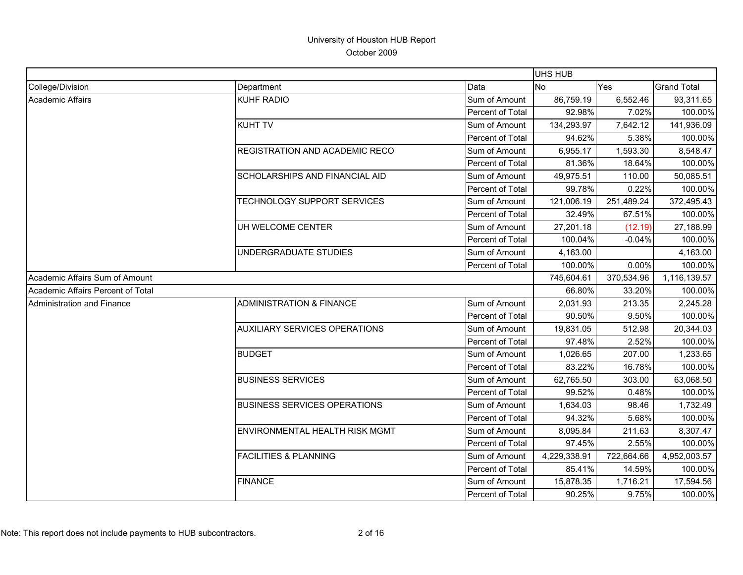|                                   |                                      |                  | <b>UHS HUB</b> |            |                    |
|-----------------------------------|--------------------------------------|------------------|----------------|------------|--------------------|
| College/Division                  | Department                           | Data             | No             | Yes        | <b>Grand Total</b> |
| Academic Affairs                  | <b>KUHF RADIO</b>                    | Sum of Amount    | 86,759.19      | 6,552.46   | 93,311.65          |
|                                   |                                      | Percent of Total | 92.98%         | 7.02%      | 100.00%            |
|                                   | <b>KUHT TV</b>                       | Sum of Amount    | 134,293.97     | 7,642.12   | 141,936.09         |
|                                   |                                      | Percent of Total | 94.62%         | 5.38%      | 100.00%            |
|                                   | REGISTRATION AND ACADEMIC RECO       | Sum of Amount    | 6,955.17       | 1,593.30   | 8,548.47           |
|                                   |                                      | Percent of Total | 81.36%         | 18.64%     | 100.00%            |
|                                   | SCHOLARSHIPS AND FINANCIAL AID       | Sum of Amount    | 49,975.51      | 110.00     | 50,085.51          |
|                                   |                                      | Percent of Total | 99.78%         | 0.22%      | 100.00%            |
|                                   | TECHNOLOGY SUPPORT SERVICES          | Sum of Amount    | 121,006.19     | 251,489.24 | 372,495.43         |
|                                   |                                      | Percent of Total | 32.49%         | 67.51%     | 100.00%            |
|                                   | UH WELCOME CENTER                    | Sum of Amount    | 27,201.18      | (12.19)    | 27,188.99          |
|                                   |                                      | Percent of Total | 100.04%        | $-0.04%$   | 100.00%            |
|                                   | UNDERGRADUATE STUDIES                | Sum of Amount    | 4,163.00       |            | 4,163.00           |
|                                   |                                      | Percent of Total | 100.00%        | 0.00%      | 100.00%            |
| Academic Affairs Sum of Amount    |                                      |                  | 745,604.61     | 370,534.96 | 1,116,139.57       |
| Academic Affairs Percent of Total |                                      |                  | 66.80%         | 33.20%     | 100.00%            |
| Administration and Finance        | <b>ADMINISTRATION &amp; FINANCE</b>  | Sum of Amount    | 2,031.93       | 213.35     | 2,245.28           |
|                                   |                                      | Percent of Total | 90.50%         | 9.50%      | 100.00%            |
|                                   | <b>AUXILIARY SERVICES OPERATIONS</b> | Sum of Amount    | 19,831.05      | 512.98     | 20,344.03          |
|                                   |                                      | Percent of Total | 97.48%         | 2.52%      | 100.00%            |
|                                   | <b>BUDGET</b>                        | Sum of Amount    | 1,026.65       | 207.00     | 1,233.65           |
|                                   |                                      | Percent of Total | 83.22%         | 16.78%     | 100.00%            |
|                                   | <b>BUSINESS SERVICES</b>             | Sum of Amount    | 62,765.50      | 303.00     | 63,068.50          |
|                                   |                                      | Percent of Total | 99.52%         | 0.48%      | 100.00%            |
|                                   | <b>BUSINESS SERVICES OPERATIONS</b>  | Sum of Amount    | 1,634.03       | 98.46      | 1,732.49           |
|                                   |                                      | Percent of Total | 94.32%         | 5.68%      | 100.00%            |
|                                   | ENVIRONMENTAL HEALTH RISK MGMT       | Sum of Amount    | 8,095.84       | 211.63     | 8,307.47           |
|                                   |                                      | Percent of Total | 97.45%         | 2.55%      | 100.00%            |
|                                   | <b>FACILITIES &amp; PLANNING</b>     | Sum of Amount    | 4,229,338.91   | 722,664.66 | 4,952,003.57       |
|                                   |                                      | Percent of Total | 85.41%         | 14.59%     | 100.00%            |
|                                   | <b>FINANCE</b>                       | Sum of Amount    | 15,878.35      | 1,716.21   | 17,594.56          |
|                                   |                                      | Percent of Total | 90.25%         | 9.75%      | 100.00%            |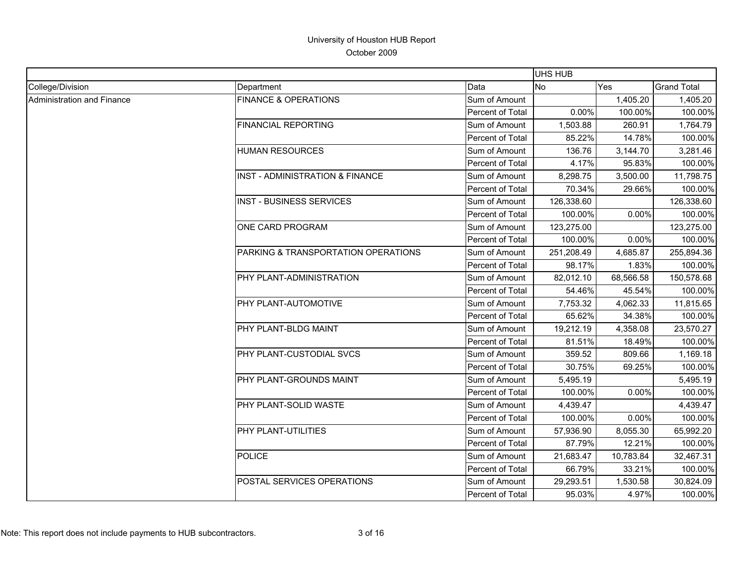|                            |                                            | <b>UHS HUB</b>   |            |           |                    |
|----------------------------|--------------------------------------------|------------------|------------|-----------|--------------------|
| College/Division           | Department                                 | Data             | <b>No</b>  | Yes       | <b>Grand Total</b> |
| Administration and Finance | <b>FINANCE &amp; OPERATIONS</b>            | Sum of Amount    |            | 1,405.20  | 1,405.20           |
|                            |                                            | Percent of Total | 0.00%      | 100.00%   | 100.00%            |
|                            | <b>FINANCIAL REPORTING</b>                 | Sum of Amount    | 1,503.88   | 260.91    | 1,764.79           |
|                            |                                            | Percent of Total | 85.22%     | 14.78%    | 100.00%            |
|                            | <b>HUMAN RESOURCES</b>                     | Sum of Amount    | 136.76     | 3,144.70  | 3,281.46           |
|                            |                                            | Percent of Total | 4.17%      | 95.83%    | 100.00%            |
|                            | <b>INST - ADMINISTRATION &amp; FINANCE</b> | Sum of Amount    | 8,298.75   | 3,500.00  | 11,798.75          |
|                            |                                            | Percent of Total | 70.34%     | 29.66%    | 100.00%            |
|                            | <b>INST - BUSINESS SERVICES</b>            | Sum of Amount    | 126,338.60 |           | 126,338.60         |
|                            |                                            | Percent of Total | 100.00%    | 0.00%     | 100.00%            |
|                            | ONE CARD PROGRAM                           | Sum of Amount    | 123,275.00 |           | 123,275.00         |
|                            |                                            | Percent of Total | 100.00%    | 0.00%     | 100.00%            |
|                            | PARKING & TRANSPORTATION OPERATIONS        | Sum of Amount    | 251,208.49 | 4,685.87  | 255,894.36         |
|                            |                                            | Percent of Total | 98.17%     | 1.83%     | 100.00%            |
|                            | PHY PLANT-ADMINISTRATION                   | Sum of Amount    | 82,012.10  | 68,566.58 | 150,578.68         |
|                            |                                            | Percent of Total | 54.46%     | 45.54%    | 100.00%            |
|                            | PHY PLANT-AUTOMOTIVE                       | Sum of Amount    | 7,753.32   | 4,062.33  | 11,815.65          |
|                            |                                            | Percent of Total | 65.62%     | 34.38%    | 100.00%            |
|                            | PHY PLANT-BLDG MAINT                       | Sum of Amount    | 19,212.19  | 4,358.08  | 23,570.27          |
|                            |                                            | Percent of Total | 81.51%     | 18.49%    | 100.00%            |
|                            | PHY PLANT-CUSTODIAL SVCS                   | Sum of Amount    | 359.52     | 809.66    | 1,169.18           |
|                            |                                            | Percent of Total | 30.75%     | 69.25%    | 100.00%            |
|                            | PHY PLANT-GROUNDS MAINT                    | Sum of Amount    | 5,495.19   |           | 5,495.19           |
|                            |                                            | Percent of Total | 100.00%    | 0.00%     | 100.00%            |
|                            | PHY PLANT-SOLID WASTE                      | Sum of Amount    | 4,439.47   |           | 4,439.47           |
|                            |                                            | Percent of Total | 100.00%    | 0.00%     | 100.00%            |
|                            | PHY PLANT-UTILITIES                        | Sum of Amount    | 57,936.90  | 8,055.30  | 65,992.20          |
|                            |                                            | Percent of Total | 87.79%     | 12.21%    | 100.00%            |
|                            | <b>POLICE</b>                              | Sum of Amount    | 21,683.47  | 10,783.84 | 32,467.31          |
|                            |                                            | Percent of Total | 66.79%     | 33.21%    | 100.00%            |
|                            | POSTAL SERVICES OPERATIONS                 | Sum of Amount    | 29,293.51  | 1,530.58  | 30,824.09          |
|                            |                                            | Percent of Total | 95.03%     | 4.97%     | 100.00%            |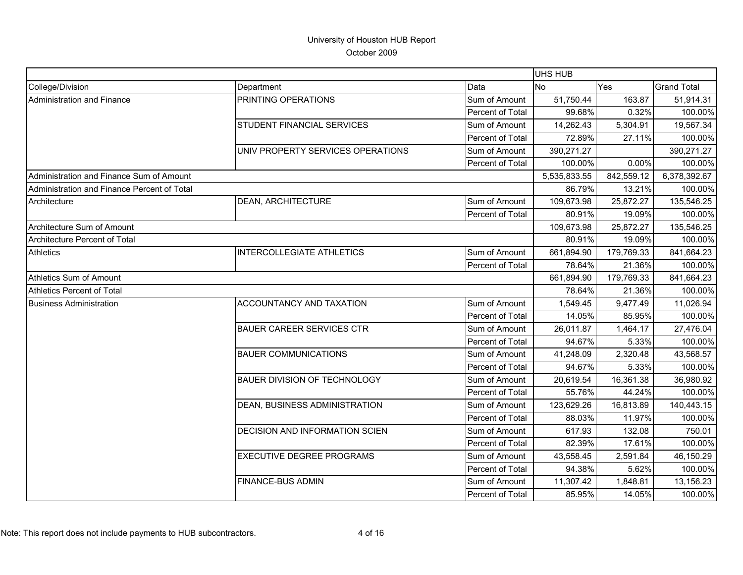|                                             |                                       |                  | UHS HUB      |            |                    |
|---------------------------------------------|---------------------------------------|------------------|--------------|------------|--------------------|
| College/Division                            | Department                            | Data             | <b>INo</b>   | Yes        | <b>Grand Total</b> |
| Administration and Finance                  | PRINTING OPERATIONS                   | Sum of Amount    | 51,750.44    | 163.87     | 51,914.31          |
|                                             |                                       | Percent of Total | 99.68%       | 0.32%      | 100.00%            |
|                                             | STUDENT FINANCIAL SERVICES            | Sum of Amount    | 14,262.43    | 5,304.91   | 19,567.34          |
|                                             |                                       | Percent of Total | 72.89%       | 27.11%     | 100.00%            |
|                                             | UNIV PROPERTY SERVICES OPERATIONS     | Sum of Amount    | 390,271.27   |            | 390,271.27         |
|                                             |                                       | Percent of Total | 100.00%      | 0.00%      | 100.00%            |
| Administration and Finance Sum of Amount    |                                       |                  | 5,535,833.55 | 842,559.12 | 6,378,392.67       |
| Administration and Finance Percent of Total |                                       |                  | 86.79%       | 13.21%     | 100.00%            |
| Architecture                                | <b>DEAN, ARCHITECTURE</b>             | Sum of Amount    | 109,673.98   | 25,872.27  | 135,546.25         |
|                                             |                                       | Percent of Total | 80.91%       | 19.09%     | 100.00%            |
| Architecture Sum of Amount                  |                                       |                  | 109,673.98   | 25,872.27  | 135,546.25         |
| Architecture Percent of Total               |                                       |                  | 80.91%       | 19.09%     | 100.00%            |
| <b>Athletics</b>                            | <b>INTERCOLLEGIATE ATHLETICS</b>      | Sum of Amount    | 661,894.90   | 179,769.33 | 841,664.23         |
|                                             |                                       | Percent of Total | 78.64%       | 21.36%     | 100.00%            |
| Athletics Sum of Amount                     |                                       |                  | 661,894.90   | 179,769.33 | 841,664.23         |
| Athletics Percent of Total                  |                                       |                  | 78.64%       | 21.36%     | 100.00%            |
| <b>Business Administration</b>              | ACCOUNTANCY AND TAXATION              | Sum of Amount    | 1,549.45     | 9,477.49   | 11,026.94          |
|                                             |                                       | Percent of Total | 14.05%       | 85.95%     | 100.00%            |
|                                             | <b>BAUER CAREER SERVICES CTR</b>      | Sum of Amount    | 26,011.87    | 1,464.17   | 27,476.04          |
|                                             |                                       | Percent of Total | 94.67%       | 5.33%      | 100.00%            |
|                                             | <b>BAUER COMMUNICATIONS</b>           | Sum of Amount    | 41,248.09    | 2,320.48   | 43,568.57          |
|                                             |                                       | Percent of Total | 94.67%       | 5.33%      | 100.00%            |
|                                             | <b>BAUER DIVISION OF TECHNOLOGY</b>   | Sum of Amount    | 20,619.54    | 16,361.38  | 36,980.92          |
|                                             |                                       | Percent of Total | 55.76%       | 44.24%     | 100.00%            |
|                                             | DEAN, BUSINESS ADMINISTRATION         | Sum of Amount    | 123,629.26   | 16,813.89  | 140,443.15         |
|                                             |                                       | Percent of Total | 88.03%       | 11.97%     | 100.00%            |
|                                             | <b>DECISION AND INFORMATION SCIEN</b> | Sum of Amount    | 617.93       | 132.08     | 750.01             |
|                                             |                                       | Percent of Total | 82.39%       | 17.61%     | 100.00%            |
|                                             | <b>EXECUTIVE DEGREE PROGRAMS</b>      | Sum of Amount    | 43,558.45    | 2,591.84   | 46,150.29          |
|                                             |                                       | Percent of Total | 94.38%       | 5.62%      | 100.00%            |
|                                             | <b>FINANCE-BUS ADMIN</b>              | Sum of Amount    | 11,307.42    | 1,848.81   | 13,156.23          |
|                                             |                                       | Percent of Total | 85.95%       | 14.05%     | 100.00%            |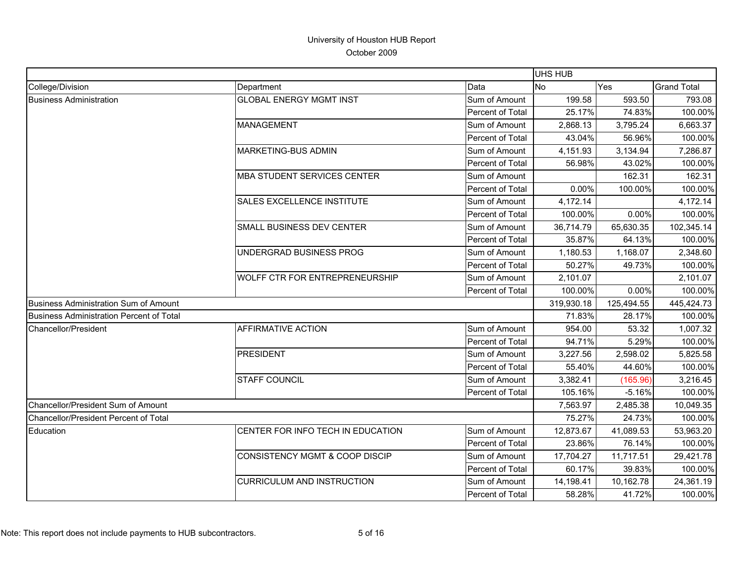|                                                 |                                           |                  | <b>UHS HUB</b> |            |                    |
|-------------------------------------------------|-------------------------------------------|------------------|----------------|------------|--------------------|
| College/Division                                | Department                                | Data             | <b>No</b>      | Yes        | <b>Grand Total</b> |
| <b>Business Administration</b>                  | <b>GLOBAL ENERGY MGMT INST</b>            | Sum of Amount    | 199.58         | 593.50     | 793.08             |
|                                                 |                                           | Percent of Total | 25.17%         | 74.83%     | 100.00%            |
|                                                 | <b>MANAGEMENT</b>                         | Sum of Amount    | 2,868.13       | 3,795.24   | 6,663.37           |
|                                                 |                                           | Percent of Total | 43.04%         | 56.96%     | 100.00%            |
|                                                 | <b>MARKETING-BUS ADMIN</b>                | Sum of Amount    | 4,151.93       | 3,134.94   | 7,286.87           |
|                                                 |                                           | Percent of Total | 56.98%         | 43.02%     | 100.00%            |
|                                                 | <b>MBA STUDENT SERVICES CENTER</b>        | Sum of Amount    |                | 162.31     | 162.31             |
|                                                 |                                           | Percent of Total | 0.00%          | 100.00%    | 100.00%            |
|                                                 | SALES EXCELLENCE INSTITUTE                | Sum of Amount    | 4,172.14       |            | 4,172.14           |
|                                                 |                                           | Percent of Total | 100.00%        | 0.00%      | 100.00%            |
|                                                 | <b>SMALL BUSINESS DEV CENTER</b>          | Sum of Amount    | 36,714.79      | 65,630.35  | 102,345.14         |
|                                                 |                                           | Percent of Total | 35.87%         | 64.13%     | 100.00%            |
|                                                 | UNDERGRAD BUSINESS PROG                   | Sum of Amount    | 1,180.53       | 1,168.07   | 2,348.60           |
|                                                 |                                           | Percent of Total | 50.27%         | 49.73%     | 100.00%            |
|                                                 | WOLFF CTR FOR ENTREPRENEURSHIP            | Sum of Amount    | 2,101.07       |            | 2,101.07           |
|                                                 |                                           | Percent of Total | 100.00%        | 0.00%      | 100.00%            |
| <b>Business Administration Sum of Amount</b>    |                                           |                  | 319,930.18     | 125,494.55 | 445,424.73         |
| <b>Business Administration Percent of Total</b> |                                           |                  | 71.83%         | 28.17%     | 100.00%            |
| Chancellor/President                            | <b>AFFIRMATIVE ACTION</b>                 | Sum of Amount    | 954.00         | 53.32      | 1,007.32           |
|                                                 |                                           | Percent of Total | 94.71%         | 5.29%      | 100.00%            |
|                                                 | <b>PRESIDENT</b>                          | Sum of Amount    | 3,227.56       | 2,598.02   | 5,825.58           |
|                                                 |                                           | Percent of Total | 55.40%         | 44.60%     | 100.00%            |
|                                                 | <b>STAFF COUNCIL</b>                      | Sum of Amount    | 3,382.41       | (165.96)   | 3,216.45           |
|                                                 |                                           | Percent of Total | 105.16%        | $-5.16%$   | 100.00%            |
| Chancellor/President Sum of Amount              |                                           |                  | 7,563.97       | 2,485.38   | 10,049.35          |
| <b>Chancellor/President Percent of Total</b>    |                                           |                  | 75.27%         | 24.73%     | 100.00%            |
| Education                                       | CENTER FOR INFO TECH IN EDUCATION         | Sum of Amount    | 12,873.67      | 41,089.53  | 53,963.20          |
|                                                 |                                           | Percent of Total | 23.86%         | 76.14%     | 100.00%            |
|                                                 | <b>CONSISTENCY MGMT &amp; COOP DISCIP</b> | Sum of Amount    | 17,704.27      | 11,717.51  | 29,421.78          |
|                                                 |                                           | Percent of Total | 60.17%         | 39.83%     | 100.00%            |
|                                                 | <b>CURRICULUM AND INSTRUCTION</b>         | Sum of Amount    | 14,198.41      | 10,162.78  | 24,361.19          |
|                                                 |                                           | Percent of Total | 58.28%         | 41.72%     | 100.00%            |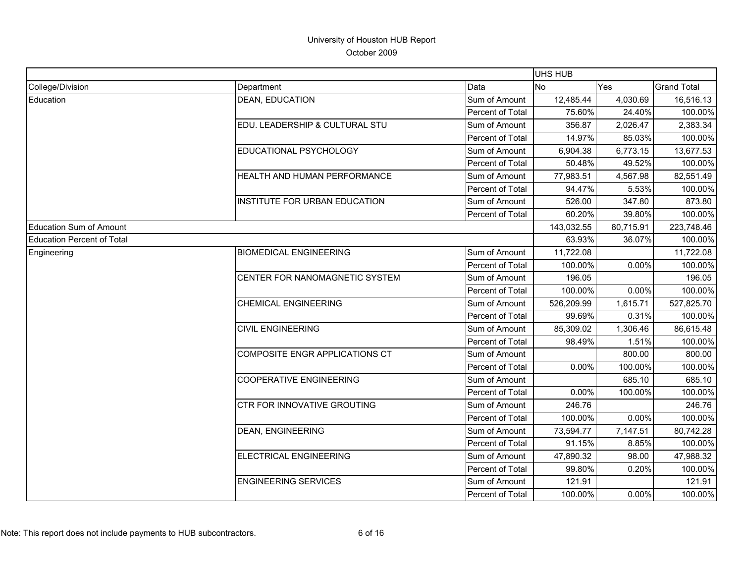|                                |                                |                  | UHS HUB    |           |                    |
|--------------------------------|--------------------------------|------------------|------------|-----------|--------------------|
| College/Division               | Department                     | Data             | <b>INo</b> | Yes       | <b>Grand Total</b> |
| Education                      | <b>DEAN, EDUCATION</b>         | Sum of Amount    | 12,485.44  | 4,030.69  | 16,516.13          |
|                                |                                | Percent of Total | 75.60%     | 24.40%    | 100.00%            |
|                                | EDU. LEADERSHIP & CULTURAL STU | Sum of Amount    | 356.87     | 2,026.47  | 2,383.34           |
|                                |                                | Percent of Total | 14.97%     | 85.03%    | 100.00%            |
|                                | EDUCATIONAL PSYCHOLOGY         | Sum of Amount    | 6,904.38   | 6,773.15  | 13,677.53          |
|                                |                                | Percent of Total | 50.48%     | 49.52%    | 100.00%            |
|                                | HEALTH AND HUMAN PERFORMANCE   | Sum of Amount    | 77,983.51  | 4,567.98  | 82,551.49          |
|                                |                                | Percent of Total | 94.47%     | 5.53%     | 100.00%            |
|                                | INSTITUTE FOR URBAN EDUCATION  | Sum of Amount    | 526.00     | 347.80    | 873.80             |
|                                |                                | Percent of Total | 60.20%     | 39.80%    | 100.00%            |
| <b>Education Sum of Amount</b> |                                |                  | 143,032.55 | 80,715.91 | 223,748.46         |
| Education Percent of Total     |                                |                  | 63.93%     | 36.07%    | 100.00%            |
| Engineering                    | <b>BIOMEDICAL ENGINEERING</b>  | Sum of Amount    | 11,722.08  |           | 11,722.08          |
|                                |                                | Percent of Total | 100.00%    | 0.00%     | 100.00%            |
|                                | CENTER FOR NANOMAGNETIC SYSTEM | Sum of Amount    | 196.05     |           | 196.05             |
|                                |                                | Percent of Total | 100.00%    | 0.00%     | 100.00%            |
|                                | <b>CHEMICAL ENGINEERING</b>    | Sum of Amount    | 526,209.99 | 1,615.71  | 527,825.70         |
|                                |                                | Percent of Total | 99.69%     | 0.31%     | 100.00%            |
|                                | <b>CIVIL ENGINEERING</b>       | Sum of Amount    | 85,309.02  | 1,306.46  | 86,615.48          |
|                                |                                | Percent of Total | 98.49%     | 1.51%     | 100.00%            |
|                                | COMPOSITE ENGR APPLICATIONS CT | Sum of Amount    |            | 800.00    | 800.00             |
|                                |                                | Percent of Total | 0.00%      | 100.00%   | 100.00%            |
|                                | <b>COOPERATIVE ENGINEERING</b> | Sum of Amount    |            | 685.10    | 685.10             |
|                                |                                | Percent of Total | 0.00%      | 100.00%   | 100.00%            |
|                                | CTR FOR INNOVATIVE GROUTING    | Sum of Amount    | 246.76     |           | 246.76             |
|                                |                                | Percent of Total | 100.00%    | 0.00%     | 100.00%            |
|                                | <b>DEAN, ENGINEERING</b>       | Sum of Amount    | 73,594.77  | 7,147.51  | 80,742.28          |
|                                |                                | Percent of Total | 91.15%     | 8.85%     | 100.00%            |
|                                | ELECTRICAL ENGINEERING         | Sum of Amount    | 47,890.32  | 98.00     | 47,988.32          |
|                                |                                | Percent of Total | 99.80%     | 0.20%     | 100.00%            |
|                                | <b>ENGINEERING SERVICES</b>    | Sum of Amount    | 121.91     |           | 121.91             |
|                                |                                | Percent of Total | 100.00%    | 0.00%     | 100.00%            |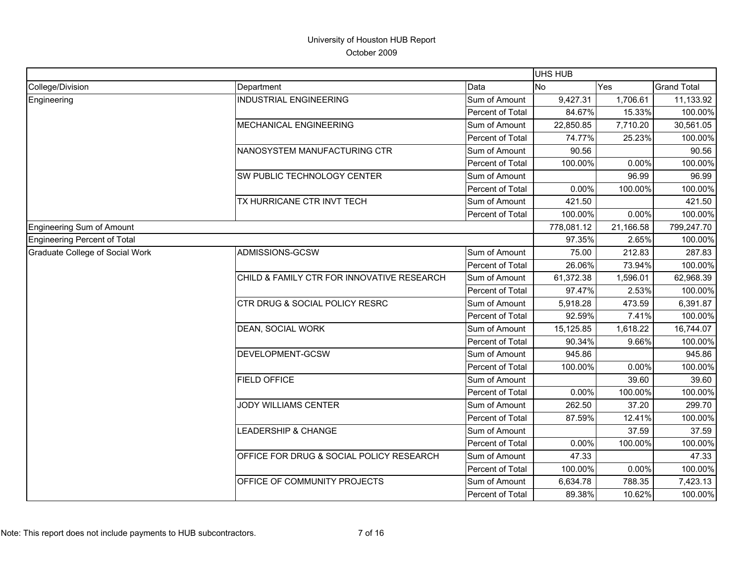|                                 |                                            |                  | UHS HUB    |           |                    |
|---------------------------------|--------------------------------------------|------------------|------------|-----------|--------------------|
| College/Division                | Department                                 | Data             | <b>INo</b> | Yes       | <b>Grand Total</b> |
| Engineering                     | <b>INDUSTRIAL ENGINEERING</b>              | Sum of Amount    | 9,427.31   | 1,706.61  | 11,133.92          |
|                                 |                                            | Percent of Total | 84.67%     | 15.33%    | 100.00%            |
|                                 | MECHANICAL ENGINEERING                     | Sum of Amount    | 22,850.85  | 7,710.20  | 30,561.05          |
|                                 |                                            | Percent of Total | 74.77%     | 25.23%    | 100.00%            |
|                                 | NANOSYSTEM MANUFACTURING CTR               | Sum of Amount    | 90.56      |           | 90.56              |
|                                 |                                            | Percent of Total | 100.00%    | 0.00%     | 100.00%            |
|                                 | SW PUBLIC TECHNOLOGY CENTER                | Sum of Amount    |            | 96.99     | 96.99              |
|                                 |                                            | Percent of Total | 0.00%      | 100.00%   | 100.00%            |
|                                 | TX HURRICANE CTR INVT TECH                 | Sum of Amount    | 421.50     |           | 421.50             |
|                                 |                                            | Percent of Total | 100.00%    | 0.00%     | 100.00%            |
| Engineering Sum of Amount       |                                            |                  | 778,081.12 | 21,166.58 | 799,247.70         |
| Engineering Percent of Total    |                                            |                  | 97.35%     | 2.65%     | 100.00%            |
| Graduate College of Social Work | ADMISSIONS-GCSW                            | Sum of Amount    | 75.00      | 212.83    | 287.83             |
|                                 |                                            | Percent of Total | 26.06%     | 73.94%    | 100.00%            |
|                                 | CHILD & FAMILY CTR FOR INNOVATIVE RESEARCH | Sum of Amount    | 61,372.38  | 1,596.01  | 62,968.39          |
|                                 |                                            | Percent of Total | 97.47%     | 2.53%     | 100.00%            |
|                                 | CTR DRUG & SOCIAL POLICY RESRC             | Sum of Amount    | 5,918.28   | 473.59    | 6,391.87           |
|                                 |                                            | Percent of Total | 92.59%     | 7.41%     | 100.00%            |
|                                 | DEAN, SOCIAL WORK                          | Sum of Amount    | 15,125.85  | 1,618.22  | 16,744.07          |
|                                 |                                            | Percent of Total | 90.34%     | 9.66%     | 100.00%            |
|                                 | DEVELOPMENT-GCSW                           | Sum of Amount    | 945.86     |           | 945.86             |
|                                 |                                            | Percent of Total | 100.00%    | 0.00%     | 100.00%            |
|                                 | <b>FIELD OFFICE</b>                        | Sum of Amount    |            | 39.60     | 39.60              |
|                                 |                                            | Percent of Total | 0.00%      | 100.00%   | 100.00%            |
|                                 | <b>JODY WILLIAMS CENTER</b>                | Sum of Amount    | 262.50     | 37.20     | 299.70             |
|                                 |                                            | Percent of Total | 87.59%     | 12.41%    | 100.00%            |
|                                 | LEADERSHIP & CHANGE                        | Sum of Amount    |            | 37.59     | 37.59              |
|                                 |                                            | Percent of Total | 0.00%      | 100.00%   | 100.00%            |
|                                 | OFFICE FOR DRUG & SOCIAL POLICY RESEARCH   | Sum of Amount    | 47.33      |           | 47.33              |
|                                 |                                            | Percent of Total | 100.00%    | 0.00%     | 100.00%            |
|                                 | OFFICE OF COMMUNITY PROJECTS               | Sum of Amount    | 6,634.78   | 788.35    | 7,423.13           |
|                                 |                                            | Percent of Total | 89.38%     | 10.62%    | 100.00%            |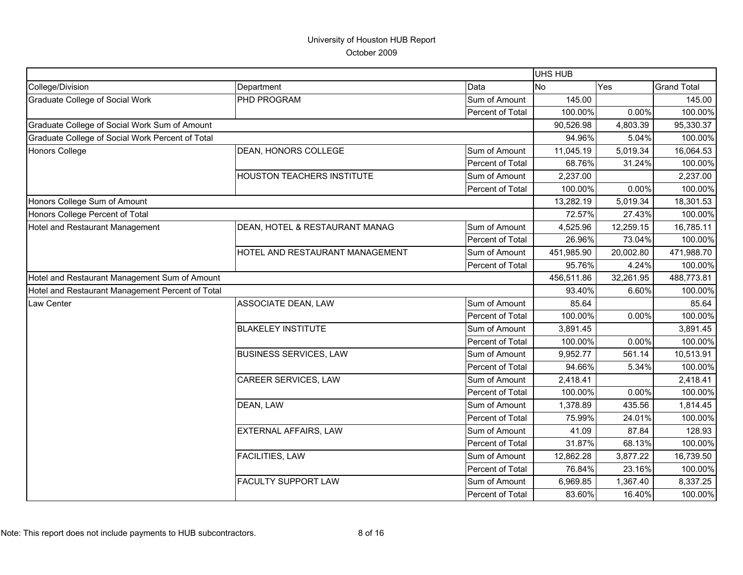|                                                  |                                   |                  | UHS HUB    |           |                    |
|--------------------------------------------------|-----------------------------------|------------------|------------|-----------|--------------------|
| College/Division                                 | Department                        | Data             | <b>No</b>  | Yes       | <b>Grand Total</b> |
| <b>Graduate College of Social Work</b>           | PHD PROGRAM                       | Sum of Amount    | 145.00     |           | 145.00             |
|                                                  |                                   | Percent of Total | 100.00%    | 0.00%     | 100.00%            |
| Graduate College of Social Work Sum of Amount    |                                   |                  | 90,526.98  | 4,803.39  | 95,330.37          |
| Graduate College of Social Work Percent of Total |                                   |                  | 94.96%     | 5.04%     | 100.00%            |
| <b>Honors College</b>                            | DEAN, HONORS COLLEGE              | Sum of Amount    | 11,045.19  | 5,019.34  | 16,064.53          |
|                                                  |                                   | Percent of Total | 68.76%     | 31.24%    | 100.00%            |
|                                                  | <b>HOUSTON TEACHERS INSTITUTE</b> | Sum of Amount    | 2,237.00   |           | 2,237.00           |
|                                                  |                                   | Percent of Total | 100.00%    | 0.00%     | 100.00%            |
| Honors College Sum of Amount                     |                                   |                  | 13,282.19  | 5,019.34  | 18,301.53          |
| Honors College Percent of Total                  |                                   |                  | 72.57%     | 27.43%    | 100.00%            |
| Hotel and Restaurant Management                  | DEAN, HOTEL & RESTAURANT MANAG    | Sum of Amount    | 4,525.96   | 12,259.15 | 16,785.11          |
|                                                  |                                   | Percent of Total | 26.96%     | 73.04%    | 100.00%            |
|                                                  | HOTEL AND RESTAURANT MANAGEMENT   | Sum of Amount    | 451,985.90 | 20,002.80 | 471,988.70         |
|                                                  |                                   | Percent of Total | 95.76%     | 4.24%     | 100.00%            |
| Hotel and Restaurant Management Sum of Amount    |                                   |                  | 456,511.86 | 32,261.95 | 488,773.81         |
| Hotel and Restaurant Management Percent of Total |                                   |                  | 93.40%     | 6.60%     | 100.00%            |
| Law Center                                       | <b>ASSOCIATE DEAN, LAW</b>        | Sum of Amount    | 85.64      |           | 85.64              |
|                                                  |                                   | Percent of Total | 100.00%    | 0.00%     | 100.00%            |
|                                                  | <b>BLAKELEY INSTITUTE</b>         | Sum of Amount    | 3,891.45   |           | 3,891.45           |
|                                                  |                                   | Percent of Total | 100.00%    | 0.00%     | 100.00%            |
|                                                  | <b>BUSINESS SERVICES, LAW</b>     | Sum of Amount    | 9,952.77   | 561.14    | 10,513.91          |
|                                                  |                                   | Percent of Total | 94.66%     | 5.34%     | 100.00%            |
|                                                  | CAREER SERVICES, LAW              | Sum of Amount    | 2,418.41   |           | 2,418.41           |
|                                                  |                                   | Percent of Total | 100.00%    | 0.00%     | 100.00%            |
|                                                  | DEAN, LAW                         | Sum of Amount    | 1,378.89   | 435.56    | 1,814.45           |
|                                                  |                                   | Percent of Total | 75.99%     | 24.01%    | 100.00%            |
|                                                  | EXTERNAL AFFAIRS, LAW             | Sum of Amount    | 41.09      | 87.84     | 128.93             |
|                                                  |                                   | Percent of Total | 31.87%     | 68.13%    | 100.00%            |
|                                                  | FACILITIES, LAW                   | Sum of Amount    | 12,862.28  | 3,877.22  | 16,739.50          |
|                                                  |                                   | Percent of Total | 76.84%     | 23.16%    | 100.00%            |
|                                                  | <b>FACULTY SUPPORT LAW</b>        | Sum of Amount    | 6,969.85   | 1,367.40  | 8,337.25           |
|                                                  |                                   | Percent of Total | 83.60%     | 16.40%    | 100.00%            |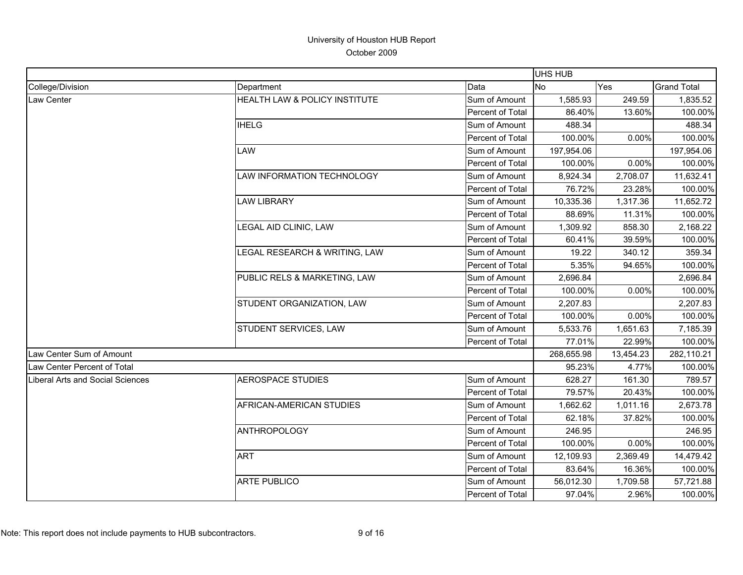|                                  |                               |                  | <b>UHS HUB</b> |           |                    |
|----------------------------------|-------------------------------|------------------|----------------|-----------|--------------------|
| College/Division                 | Department                    | Data             | <b>No</b>      | Yes       | <b>Grand Total</b> |
| <b>Law Center</b>                | HEALTH LAW & POLICY INSTITUTE | Sum of Amount    | 1,585.93       | 249.59    | 1,835.52           |
|                                  |                               | Percent of Total | 86.40%         | 13.60%    | 100.00%            |
|                                  | <b>IHELG</b>                  | Sum of Amount    | 488.34         |           | 488.34             |
|                                  |                               | Percent of Total | 100.00%        | 0.00%     | 100.00%            |
|                                  | <b>LAW</b>                    | Sum of Amount    | 197,954.06     |           | 197,954.06         |
|                                  |                               | Percent of Total | 100.00%        | 0.00%     | 100.00%            |
|                                  | LAW INFORMATION TECHNOLOGY    | Sum of Amount    | 8,924.34       | 2,708.07  | 11,632.41          |
|                                  |                               | Percent of Total | 76.72%         | 23.28%    | 100.00%            |
|                                  | <b>LAW LIBRARY</b>            | Sum of Amount    | 10,335.36      | 1,317.36  | 11,652.72          |
|                                  |                               | Percent of Total | 88.69%         | 11.31%    | 100.00%            |
|                                  | LEGAL AID CLINIC, LAW         | Sum of Amount    | 1,309.92       | 858.30    | 2,168.22           |
|                                  |                               | Percent of Total | 60.41%         | 39.59%    | 100.00%            |
|                                  | LEGAL RESEARCH & WRITING, LAW | Sum of Amount    | 19.22          | 340.12    | 359.34             |
|                                  |                               | Percent of Total | 5.35%          | 94.65%    | 100.00%            |
|                                  | PUBLIC RELS & MARKETING, LAW  | Sum of Amount    | 2,696.84       |           | 2,696.84           |
|                                  |                               | Percent of Total | 100.00%        | 0.00%     | 100.00%            |
|                                  | STUDENT ORGANIZATION, LAW     | Sum of Amount    | 2,207.83       |           | 2,207.83           |
|                                  |                               | Percent of Total | 100.00%        | 0.00%     | 100.00%            |
|                                  | STUDENT SERVICES, LAW         | Sum of Amount    | 5,533.76       | 1,651.63  | 7,185.39           |
|                                  |                               | Percent of Total | 77.01%         | 22.99%    | 100.00%            |
| Law Center Sum of Amount         |                               |                  | 268,655.98     | 13,454.23 | 282,110.21         |
| Law Center Percent of Total      |                               |                  | 95.23%         | 4.77%     | 100.00%            |
| Liberal Arts and Social Sciences | <b>AEROSPACE STUDIES</b>      | Sum of Amount    | 628.27         | 161.30    | 789.57             |
|                                  |                               | Percent of Total | 79.57%         | 20.43%    | 100.00%            |
|                                  | AFRICAN-AMERICAN STUDIES      | Sum of Amount    | 1,662.62       | 1,011.16  | 2,673.78           |
|                                  |                               | Percent of Total | 62.18%         | 37.82%    | 100.00%            |
|                                  | <b>ANTHROPOLOGY</b>           | Sum of Amount    | 246.95         |           | 246.95             |
|                                  |                               | Percent of Total | 100.00%        | 0.00%     | 100.00%            |
|                                  | <b>ART</b>                    | Sum of Amount    | 12,109.93      | 2,369.49  | 14,479.42          |
|                                  |                               | Percent of Total | 83.64%         | 16.36%    | 100.00%            |
|                                  | <b>ARTE PUBLICO</b>           | Sum of Amount    | 56,012.30      | 1,709.58  | 57,721.88          |
|                                  |                               | Percent of Total | 97.04%         | 2.96%     | 100.00%            |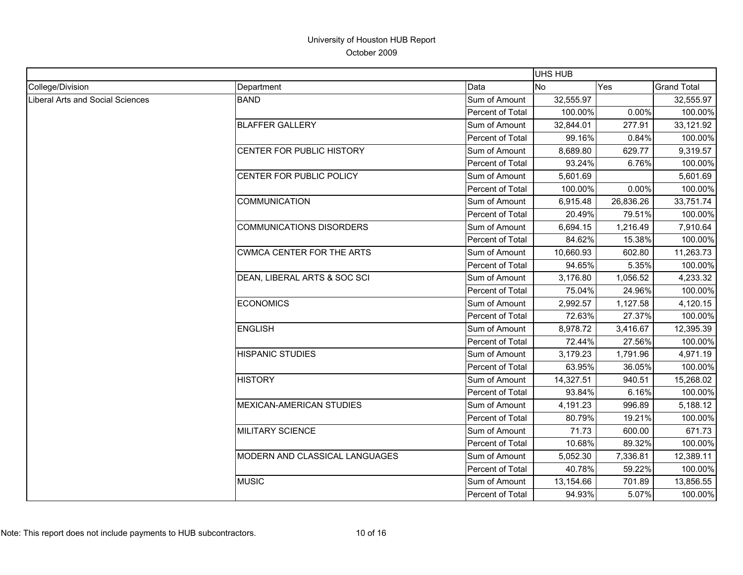|                                  |                                  |                  | <b>UHS HUB</b> |           |                    |
|----------------------------------|----------------------------------|------------------|----------------|-----------|--------------------|
| College/Division                 | Department                       | Data             | <b>No</b>      | Yes       | <b>Grand Total</b> |
| Liberal Arts and Social Sciences | <b>BAND</b>                      | Sum of Amount    | 32,555.97      |           | 32,555.97          |
|                                  |                                  | Percent of Total | 100.00%        | 0.00%     | 100.00%            |
|                                  | <b>BLAFFER GALLERY</b>           | Sum of Amount    | 32,844.01      | 277.91    | 33,121.92          |
|                                  |                                  | Percent of Total | 99.16%         | 0.84%     | 100.00%            |
|                                  | CENTER FOR PUBLIC HISTORY        | Sum of Amount    | 8,689.80       | 629.77    | 9,319.57           |
|                                  |                                  | Percent of Total | 93.24%         | 6.76%     | 100.00%            |
|                                  | CENTER FOR PUBLIC POLICY         | Sum of Amount    | 5,601.69       |           | 5,601.69           |
|                                  |                                  | Percent of Total | 100.00%        | 0.00%     | 100.00%            |
|                                  | <b>COMMUNICATION</b>             | Sum of Amount    | 6,915.48       | 26,836.26 | 33,751.74          |
|                                  |                                  | Percent of Total | 20.49%         | 79.51%    | 100.00%            |
|                                  | <b>COMMUNICATIONS DISORDERS</b>  | Sum of Amount    | 6,694.15       | 1,216.49  | 7,910.64           |
|                                  |                                  | Percent of Total | 84.62%         | 15.38%    | 100.00%            |
|                                  | <b>CWMCA CENTER FOR THE ARTS</b> | Sum of Amount    | 10,660.93      | 602.80    | 11,263.73          |
|                                  |                                  | Percent of Total | 94.65%         | 5.35%     | 100.00%            |
|                                  | DEAN, LIBERAL ARTS & SOC SCI     | Sum of Amount    | 3,176.80       | 1,056.52  | 4,233.32           |
|                                  |                                  | Percent of Total | 75.04%         | 24.96%    | 100.00%            |
|                                  | <b>ECONOMICS</b>                 | Sum of Amount    | 2,992.57       | 1,127.58  | 4,120.15           |
|                                  |                                  | Percent of Total | 72.63%         | 27.37%    | 100.00%            |
|                                  | <b>ENGLISH</b>                   | Sum of Amount    | 8,978.72       | 3,416.67  | 12,395.39          |
|                                  |                                  | Percent of Total | 72.44%         | 27.56%    | 100.00%            |
|                                  | <b>HISPANIC STUDIES</b>          | Sum of Amount    | 3,179.23       | 1,791.96  | 4,971.19           |
|                                  |                                  | Percent of Total | 63.95%         | 36.05%    | 100.00%            |
|                                  | <b>HISTORY</b>                   | Sum of Amount    | 14,327.51      | 940.51    | 15,268.02          |
|                                  |                                  | Percent of Total | 93.84%         | 6.16%     | 100.00%            |
|                                  | MEXICAN-AMERICAN STUDIES         | Sum of Amount    | 4,191.23       | 996.89    | 5,188.12           |
|                                  |                                  | Percent of Total | 80.79%         | 19.21%    | 100.00%            |
|                                  | <b>MILITARY SCIENCE</b>          | Sum of Amount    | 71.73          | 600.00    | 671.73             |
|                                  |                                  | Percent of Total | 10.68%         | 89.32%    | 100.00%            |
|                                  | MODERN AND CLASSICAL LANGUAGES   | Sum of Amount    | 5,052.30       | 7,336.81  | 12,389.11          |
|                                  |                                  | Percent of Total | 40.78%         | 59.22%    | 100.00%            |
|                                  | <b>MUSIC</b>                     | Sum of Amount    | 13,154.66      | 701.89    | 13,856.55          |
|                                  |                                  | Percent of Total | 94.93%         | 5.07%     | 100.00%            |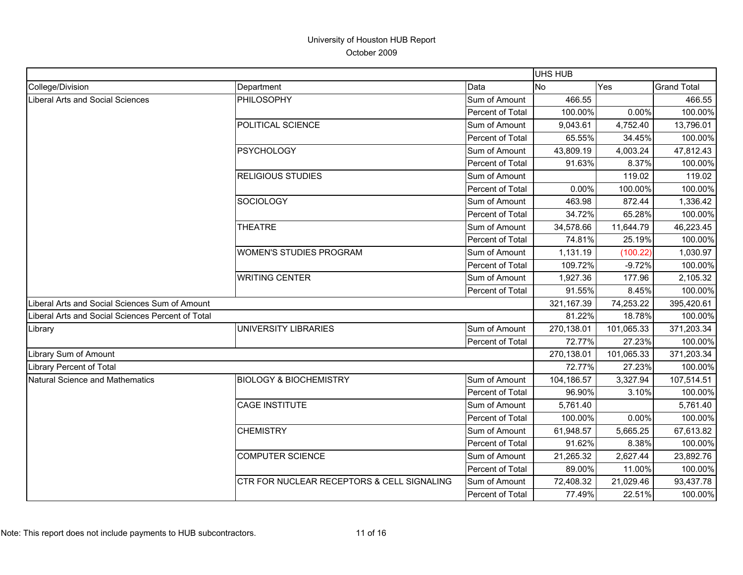|                                                   |                                            |                  | UHS HUB    |            |                    |
|---------------------------------------------------|--------------------------------------------|------------------|------------|------------|--------------------|
| College/Division                                  | Department                                 | Data             | <b>No</b>  | Yes        | <b>Grand Total</b> |
| Liberal Arts and Social Sciences                  | PHILOSOPHY                                 | Sum of Amount    | 466.55     |            | 466.55             |
|                                                   |                                            | Percent of Total | 100.00%    | 0.00%      | 100.00%            |
|                                                   | POLITICAL SCIENCE                          | Sum of Amount    | 9,043.61   | 4,752.40   | 13,796.01          |
|                                                   |                                            | Percent of Total | 65.55%     | 34.45%     | 100.00%            |
|                                                   | <b>PSYCHOLOGY</b>                          | Sum of Amount    | 43,809.19  | 4,003.24   | 47,812.43          |
|                                                   |                                            | Percent of Total | 91.63%     | 8.37%      | 100.00%            |
|                                                   | <b>RELIGIOUS STUDIES</b>                   | Sum of Amount    |            | 119.02     | 119.02             |
|                                                   |                                            | Percent of Total | 0.00%      | 100.00%    | 100.00%            |
|                                                   | SOCIOLOGY                                  | Sum of Amount    | 463.98     | 872.44     | 1,336.42           |
|                                                   |                                            | Percent of Total | 34.72%     | 65.28%     | 100.00%            |
|                                                   | <b>THEATRE</b>                             | Sum of Amount    | 34,578.66  | 11,644.79  | 46,223.45          |
|                                                   |                                            | Percent of Total | 74.81%     | 25.19%     | 100.00%            |
|                                                   | <b>WOMEN'S STUDIES PROGRAM</b>             | Sum of Amount    | 1,131.19   | (100.22)   | 1,030.97           |
|                                                   |                                            | Percent of Total | 109.72%    | $-9.72%$   | 100.00%            |
|                                                   | <b>WRITING CENTER</b>                      | Sum of Amount    | 1,927.36   | 177.96     | 2,105.32           |
|                                                   |                                            | Percent of Total | 91.55%     | 8.45%      | 100.00%            |
| Liberal Arts and Social Sciences Sum of Amount    |                                            |                  | 321,167.39 | 74,253.22  | 395,420.61         |
| Liberal Arts and Social Sciences Percent of Total |                                            |                  | 81.22%     | 18.78%     | 100.00%            |
| Library                                           | UNIVERSITY LIBRARIES                       | Sum of Amount    | 270,138.01 | 101,065.33 | 371,203.34         |
|                                                   |                                            | Percent of Total | 72.77%     | 27.23%     | 100.00%            |
| Library Sum of Amount                             |                                            |                  | 270,138.01 | 101,065.33 | 371,203.34         |
| Library Percent of Total                          |                                            |                  | 72.77%     | 27.23%     | 100.00%            |
| Natural Science and Mathematics                   | <b>BIOLOGY &amp; BIOCHEMISTRY</b>          | Sum of Amount    | 104,186.57 | 3,327.94   | 107,514.51         |
|                                                   |                                            | Percent of Total | 96.90%     | 3.10%      | 100.00%            |
|                                                   | <b>CAGE INSTITUTE</b>                      | Sum of Amount    | 5,761.40   |            | 5,761.40           |
|                                                   |                                            | Percent of Total | 100.00%    | 0.00%      | 100.00%            |
|                                                   | <b>CHEMISTRY</b>                           | Sum of Amount    | 61,948.57  | 5,665.25   | 67,613.82          |
|                                                   |                                            | Percent of Total | 91.62%     | 8.38%      | 100.00%            |
|                                                   | <b>COMPUTER SCIENCE</b>                    | Sum of Amount    | 21,265.32  | 2,627.44   | 23,892.76          |
|                                                   |                                            | Percent of Total | 89.00%     | 11.00%     | 100.00%            |
|                                                   | CTR FOR NUCLEAR RECEPTORS & CELL SIGNALING | Sum of Amount    | 72,408.32  | 21,029.46  | 93,437.78          |
|                                                   |                                            | Percent of Total | 77.49%     | 22.51%     | 100.00%            |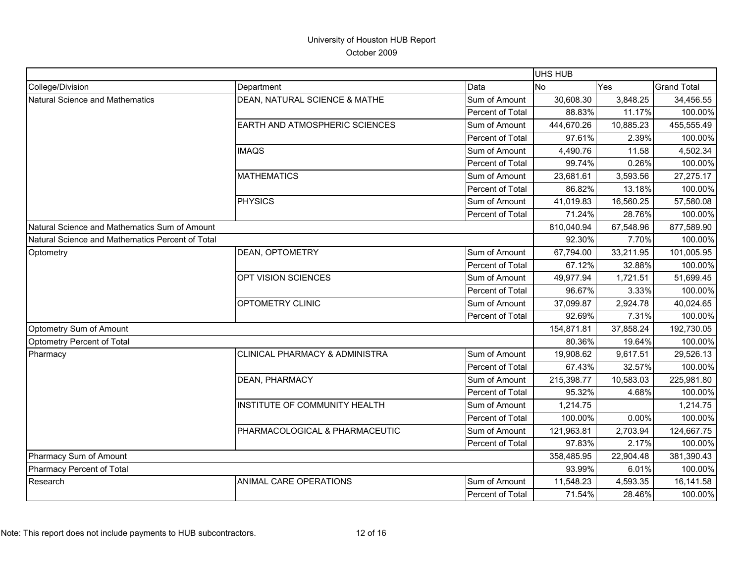|                                                  |                                           |                  | <b>UHS HUB</b> |           |                    |
|--------------------------------------------------|-------------------------------------------|------------------|----------------|-----------|--------------------|
| College/Division                                 | Department                                | Data             | <b>No</b>      | Yes       | <b>Grand Total</b> |
| Natural Science and Mathematics                  | DEAN, NATURAL SCIENCE & MATHE             | Sum of Amount    | 30,608.30      | 3,848.25  | 34,456.55          |
|                                                  |                                           | Percent of Total | 88.83%         | 11.17%    | 100.00%            |
|                                                  | EARTH AND ATMOSPHERIC SCIENCES            | Sum of Amount    | 444,670.26     | 10,885.23 | 455,555.49         |
|                                                  |                                           | Percent of Total | 97.61%         | 2.39%     | 100.00%            |
|                                                  | <b>IMAQS</b>                              | Sum of Amount    | 4,490.76       | 11.58     | 4,502.34           |
|                                                  |                                           | Percent of Total | 99.74%         | 0.26%     | 100.00%            |
|                                                  | <b>MATHEMATICS</b>                        | Sum of Amount    | 23,681.61      | 3,593.56  | 27,275.17          |
|                                                  |                                           | Percent of Total | 86.82%         | 13.18%    | 100.00%            |
|                                                  | <b>PHYSICS</b>                            | Sum of Amount    | 41,019.83      | 16,560.25 | 57,580.08          |
|                                                  |                                           | Percent of Total | 71.24%         | 28.76%    | 100.00%            |
| Natural Science and Mathematics Sum of Amount    |                                           |                  | 810,040.94     | 67,548.96 | 877,589.90         |
| Natural Science and Mathematics Percent of Total |                                           |                  | 92.30%         | 7.70%     | 100.00%            |
| Optometry                                        | DEAN, OPTOMETRY                           | Sum of Amount    | 67,794.00      | 33,211.95 | 101,005.95         |
|                                                  |                                           | Percent of Total | 67.12%         | 32.88%    | 100.00%            |
|                                                  | OPT VISION SCIENCES                       | Sum of Amount    | 49,977.94      | 1,721.51  | 51,699.45          |
|                                                  |                                           | Percent of Total | 96.67%         | 3.33%     | 100.00%            |
|                                                  | OPTOMETRY CLINIC                          | Sum of Amount    | 37,099.87      | 2,924.78  | 40,024.65          |
|                                                  |                                           | Percent of Total | 92.69%         | 7.31%     | 100.00%            |
| Optometry Sum of Amount                          |                                           |                  | 154,871.81     | 37,858.24 | 192,730.05         |
| Optometry Percent of Total                       |                                           |                  | 80.36%         | 19.64%    | 100.00%            |
| Pharmacy                                         | <b>CLINICAL PHARMACY &amp; ADMINISTRA</b> | Sum of Amount    | 19,908.62      | 9,617.51  | 29,526.13          |
|                                                  |                                           | Percent of Total | 67.43%         | 32.57%    | 100.00%            |
|                                                  | DEAN, PHARMACY                            | Sum of Amount    | 215,398.77     | 10,583.03 | 225,981.80         |
|                                                  |                                           | Percent of Total | 95.32%         | 4.68%     | 100.00%            |
|                                                  | INSTITUTE OF COMMUNITY HEALTH             | Sum of Amount    | 1,214.75       |           | 1,214.75           |
|                                                  |                                           | Percent of Total | 100.00%        | 0.00%     | 100.00%            |
|                                                  | PHARMACOLOGICAL & PHARMACEUTIC            | Sum of Amount    | 121,963.81     | 2,703.94  | 124,667.75         |
|                                                  |                                           | Percent of Total | 97.83%         | 2.17%     | 100.00%            |
| Pharmacy Sum of Amount                           |                                           |                  | 358,485.95     | 22,904.48 | 381,390.43         |
| Pharmacy Percent of Total                        |                                           |                  | 93.99%         | 6.01%     | 100.00%            |
| Research                                         | ANIMAL CARE OPERATIONS                    | Sum of Amount    | 11,548.23      | 4,593.35  | 16,141.58          |
|                                                  |                                           | Percent of Total | 71.54%         | 28.46%    | 100.00%            |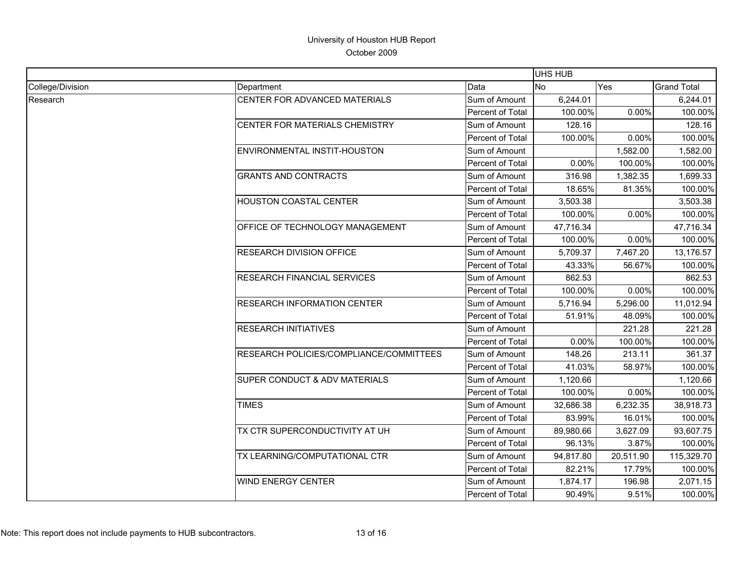|                  |                                         |                  | UHS HUB    |           |                    |
|------------------|-----------------------------------------|------------------|------------|-----------|--------------------|
| College/Division | Department                              | Data             | <b>INo</b> | Yes       | <b>Grand Total</b> |
| Research         | CENTER FOR ADVANCED MATERIALS           | Sum of Amount    | 6,244.01   |           | 6,244.01           |
|                  |                                         | Percent of Total | 100.00%    | 0.00%     | 100.00%            |
|                  | CENTER FOR MATERIALS CHEMISTRY          | Sum of Amount    | 128.16     |           | 128.16             |
|                  |                                         | Percent of Total | 100.00%    | 0.00%     | 100.00%            |
|                  | ENVIRONMENTAL INSTIT-HOUSTON            | Sum of Amount    |            | 1,582.00  | 1,582.00           |
|                  |                                         | Percent of Total | 0.00%      | 100.00%   | 100.00%            |
|                  | <b>GRANTS AND CONTRACTS</b>             | Sum of Amount    | 316.98     | 1,382.35  | 1,699.33           |
|                  |                                         | Percent of Total | 18.65%     | 81.35%    | 100.00%            |
|                  | HOUSTON COASTAL CENTER                  | Sum of Amount    | 3,503.38   |           | 3,503.38           |
|                  |                                         | Percent of Total | 100.00%    | 0.00%     | 100.00%            |
|                  | OFFICE OF TECHNOLOGY MANAGEMENT         | Sum of Amount    | 47,716.34  |           | 47,716.34          |
|                  |                                         | Percent of Total | 100.00%    | 0.00%     | 100.00%            |
|                  | <b>RESEARCH DIVISION OFFICE</b>         | Sum of Amount    | 5,709.37   | 7,467.20  | 13,176.57          |
|                  |                                         | Percent of Total | 43.33%     | 56.67%    | 100.00%            |
|                  | <b>RESEARCH FINANCIAL SERVICES</b>      | Sum of Amount    | 862.53     |           | 862.53             |
|                  |                                         | Percent of Total | 100.00%    | 0.00%     | 100.00%            |
|                  | <b>RESEARCH INFORMATION CENTER</b>      | Sum of Amount    | 5,716.94   | 5,296.00  | 11,012.94          |
|                  |                                         | Percent of Total | 51.91%     | 48.09%    | 100.00%            |
|                  | <b>RESEARCH INITIATIVES</b>             | Sum of Amount    |            | 221.28    | 221.28             |
|                  |                                         | Percent of Total | 0.00%      | 100.00%   | 100.00%            |
|                  | RESEARCH POLICIES/COMPLIANCE/COMMITTEES | Sum of Amount    | 148.26     | 213.11    | 361.37             |
|                  |                                         | Percent of Total | 41.03%     | 58.97%    | 100.00%            |
|                  | SUPER CONDUCT & ADV MATERIALS           | Sum of Amount    | 1,120.66   |           | 1,120.66           |
|                  |                                         | Percent of Total | 100.00%    | 0.00%     | 100.00%            |
|                  | <b>TIMES</b>                            | Sum of Amount    | 32,686.38  | 6,232.35  | 38,918.73          |
|                  |                                         | Percent of Total | 83.99%     | 16.01%    | 100.00%            |
|                  | TX CTR SUPERCONDUCTIVITY AT UH          | Sum of Amount    | 89,980.66  | 3,627.09  | 93,607.75          |
|                  |                                         | Percent of Total | 96.13%     | 3.87%     | 100.00%            |
|                  | TX LEARNING/COMPUTATIONAL CTR           | Sum of Amount    | 94,817.80  | 20,511.90 | 115,329.70         |
|                  |                                         | Percent of Total | 82.21%     | 17.79%    | 100.00%            |
|                  | <b>WIND ENERGY CENTER</b>               | Sum of Amount    | 1,874.17   | 196.98    | 2,071.15           |
|                  |                                         | Percent of Total | 90.49%     | 9.51%     | 100.00%            |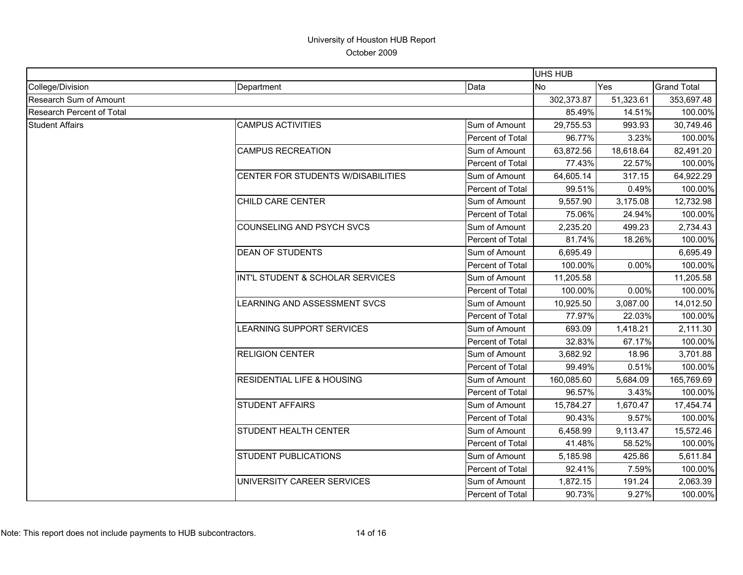|                           |                                       |                  | UHS HUB    |            |                    |
|---------------------------|---------------------------------------|------------------|------------|------------|--------------------|
| College/Division          | Department                            | Data             | <b>No</b>  | Yes        | <b>Grand Total</b> |
| Research Sum of Amount    |                                       | 302,373.87       | 51,323.61  | 353,697.48 |                    |
| Research Percent of Total |                                       | 85.49%           | 14.51%     | 100.00%    |                    |
| <b>Student Affairs</b>    | <b>CAMPUS ACTIVITIES</b>              | Sum of Amount    | 29,755.53  | 993.93     | 30,749.46          |
|                           |                                       | Percent of Total | 96.77%     | 3.23%      | 100.00%            |
|                           | <b>CAMPUS RECREATION</b>              | Sum of Amount    | 63,872.56  | 18,618.64  | 82,491.20          |
|                           |                                       | Percent of Total | 77.43%     | 22.57%     | 100.00%            |
|                           | CENTER FOR STUDENTS W/DISABILITIES    | Sum of Amount    | 64,605.14  | 317.15     | 64,922.29          |
|                           |                                       | Percent of Total | 99.51%     | 0.49%      | 100.00%            |
|                           | CHILD CARE CENTER                     | Sum of Amount    | 9,557.90   | 3,175.08   | 12,732.98          |
|                           |                                       | Percent of Total | 75.06%     | 24.94%     | 100.00%            |
|                           | COUNSELING AND PSYCH SVCS             | Sum of Amount    | 2,235.20   | 499.23     | 2,734.43           |
|                           |                                       | Percent of Total | 81.74%     | 18.26%     | 100.00%            |
|                           | <b>DEAN OF STUDENTS</b>               | Sum of Amount    | 6,695.49   |            | 6,695.49           |
|                           |                                       | Percent of Total | 100.00%    | 0.00%      | 100.00%            |
|                           | INT'L STUDENT & SCHOLAR SERVICES      | Sum of Amount    | 11,205.58  |            | 11,205.58          |
|                           |                                       | Percent of Total | 100.00%    | 0.00%      | 100.00%            |
|                           | LEARNING AND ASSESSMENT SVCS          | Sum of Amount    | 10,925.50  | 3,087.00   | 14,012.50          |
|                           |                                       | Percent of Total | 77.97%     | 22.03%     | 100.00%            |
|                           | LEARNING SUPPORT SERVICES             | Sum of Amount    | 693.09     | 1,418.21   | 2,111.30           |
|                           |                                       | Percent of Total | 32.83%     | 67.17%     | 100.00%            |
|                           | <b>RELIGION CENTER</b>                | Sum of Amount    | 3,682.92   | 18.96      | 3,701.88           |
|                           |                                       | Percent of Total | 99.49%     | 0.51%      | 100.00%            |
|                           | <b>RESIDENTIAL LIFE &amp; HOUSING</b> | Sum of Amount    | 160,085.60 | 5,684.09   | 165,769.69         |
|                           |                                       | Percent of Total | 96.57%     | 3.43%      | 100.00%            |
|                           | <b>STUDENT AFFAIRS</b>                | Sum of Amount    | 15,784.27  | 1,670.47   | 17,454.74          |
|                           |                                       | Percent of Total | 90.43%     | 9.57%      | 100.00%            |
|                           | <b>STUDENT HEALTH CENTER</b>          | Sum of Amount    | 6,458.99   | 9,113.47   | 15,572.46          |
|                           |                                       | Percent of Total | 41.48%     | 58.52%     | 100.00%            |
|                           | <b>STUDENT PUBLICATIONS</b>           | Sum of Amount    | 5,185.98   | 425.86     | 5,611.84           |
|                           |                                       | Percent of Total | 92.41%     | 7.59%      | 100.00%            |
|                           | UNIVERSITY CAREER SERVICES            | Sum of Amount    | 1,872.15   | 191.24     | 2,063.39           |
|                           |                                       | Percent of Total | 90.73%     | 9.27%      | 100.00%            |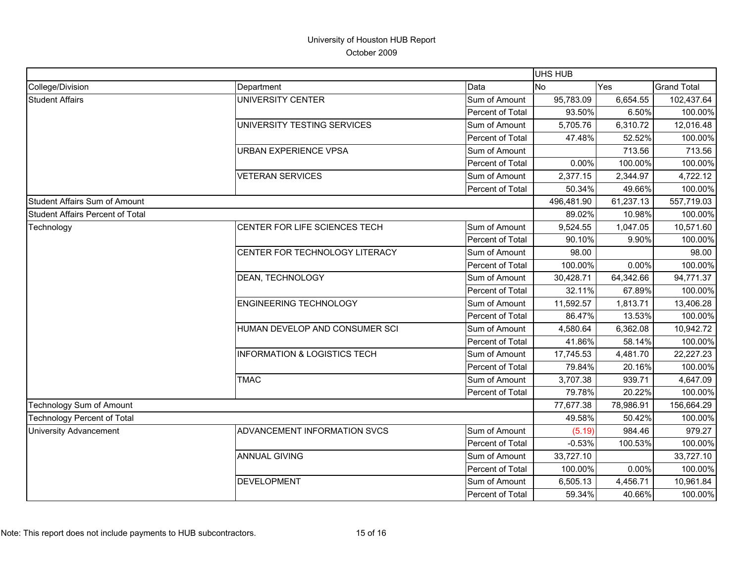|                                         |                                         |                  | <b>UHS HUB</b> |            |                    |
|-----------------------------------------|-----------------------------------------|------------------|----------------|------------|--------------------|
| College/Division                        | Department                              | Data             | <b>No</b>      | Yes        | <b>Grand Total</b> |
| <b>Student Affairs</b>                  | UNIVERSITY CENTER                       | Sum of Amount    | 95,783.09      | 6,654.55   | 102,437.64         |
|                                         |                                         | Percent of Total | 93.50%         | 6.50%      | 100.00%            |
|                                         | UNIVERSITY TESTING SERVICES             | Sum of Amount    | 5,705.76       | 6,310.72   | 12,016.48          |
|                                         |                                         | Percent of Total | 47.48%         | 52.52%     | 100.00%            |
|                                         | <b>URBAN EXPERIENCE VPSA</b>            | Sum of Amount    |                | 713.56     | 713.56             |
|                                         |                                         | Percent of Total | 0.00%          | 100.00%    | 100.00%            |
|                                         | <b>VETERAN SERVICES</b>                 | Sum of Amount    | 2,377.15       | 2,344.97   | 4,722.12           |
|                                         |                                         | Percent of Total | 50.34%         | 49.66%     | 100.00%            |
| <b>Student Affairs Sum of Amount</b>    |                                         |                  | 496,481.90     | 61,237.13  | 557,719.03         |
| <b>Student Affairs Percent of Total</b> |                                         |                  | 89.02%         | 10.98%     | 100.00%            |
| Technology                              | CENTER FOR LIFE SCIENCES TECH           | Sum of Amount    | 9,524.55       | 1,047.05   | 10,571.60          |
|                                         |                                         | Percent of Total | 90.10%         | 9.90%      | 100.00%            |
|                                         | CENTER FOR TECHNOLOGY LITERACY          | Sum of Amount    | 98.00          |            | 98.00              |
|                                         |                                         | Percent of Total | 100.00%        | 0.00%      | 100.00%            |
|                                         | DEAN, TECHNOLOGY                        | Sum of Amount    | 30,428.71      | 64,342.66  | 94,771.37          |
|                                         |                                         | Percent of Total | 32.11%         | 67.89%     | 100.00%            |
|                                         | <b>ENGINEERING TECHNOLOGY</b>           | Sum of Amount    | 11,592.57      | 1,813.71   | 13,406.28          |
|                                         |                                         | Percent of Total | 86.47%         | 13.53%     | 100.00%            |
|                                         | HUMAN DEVELOP AND CONSUMER SCI          | Sum of Amount    | 4,580.64       | 6,362.08   | 10,942.72          |
|                                         |                                         | Percent of Total | 41.86%         | 58.14%     | 100.00%            |
|                                         | <b>INFORMATION &amp; LOGISTICS TECH</b> | Sum of Amount    | 17,745.53      | 4,481.70   | 22,227.23          |
|                                         |                                         | Percent of Total | 79.84%         | 20.16%     | 100.00%            |
|                                         | <b>TMAC</b>                             | Sum of Amount    | 3,707.38       | 939.71     | 4,647.09           |
|                                         |                                         | Percent of Total | 79.78%         | 20.22%     | 100.00%            |
| <b>Technology Sum of Amount</b>         |                                         | 77,677.38        | 78,986.91      | 156,664.29 |                    |
| Technology Percent of Total             |                                         |                  | 49.58%         | 50.42%     | 100.00%            |
| <b>University Advancement</b>           | ADVANCEMENT INFORMATION SVCS            | Sum of Amount    | (5.19)         | 984.46     | 979.27             |
|                                         |                                         | Percent of Total | $-0.53%$       | 100.53%    | 100.00%            |
|                                         | <b>ANNUAL GIVING</b>                    | Sum of Amount    | 33,727.10      |            | 33,727.10          |
|                                         |                                         | Percent of Total | 100.00%        | 0.00%      | 100.00%            |
|                                         | <b>DEVELOPMENT</b>                      | Sum of Amount    | 6,505.13       | 4,456.71   | 10,961.84          |
|                                         |                                         | Percent of Total | 59.34%         | 40.66%     | 100.00%            |